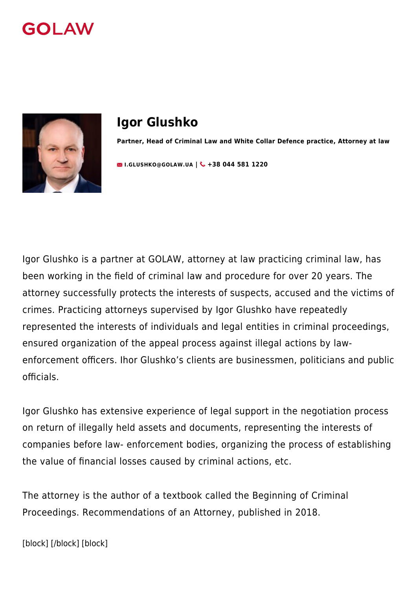



# **Igor Glushko**

**Partner, Head of Criminal Law and White Collar Defence practice, Attorney at law**

**EXALUSHKO@GOLAW.UA | & +38 044 581 1220** 

Igor Glushko is a partner at GOLAW, attorney at law practicing criminal law, has been working in the field of criminal law and procedure for over 20 years. The attorney successfully protects the interests of suspects, accused and the victims of crimes. Practicing attorneys supervised by Igor Glushko have repeatedly represented the interests of individuals and legal entities in criminal proceedings, ensured organization of the appeal process against illegal actions by lawenforcement officers. Ihor Glushko's clients are businessmen, politicians and public officials.

Igor Glushko has extensive experience of legal support in the negotiation process on return of illegally held assets and documents, representing the interests of companies before law- enforcement bodies, organizing the process of establishing the value of financial losses caused by criminal actions, etc.

The attorney is the author of a textbook called the Beginning of Criminal Proceedings. Recommendations of an Attorney, published in 2018.

[block] [/block] [block]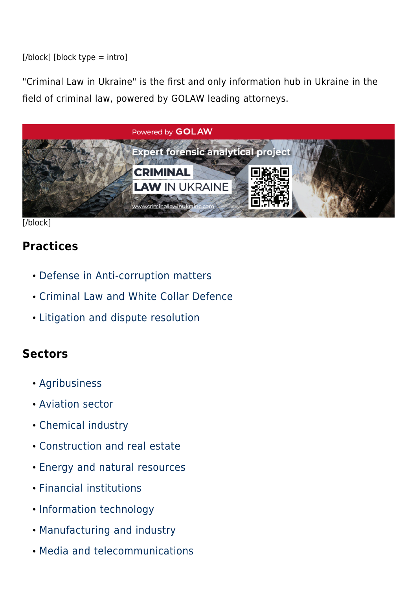#### $[*/*block]$  [block type = intro]

"Criminal Law in Ukraine" is the first and only information hub in Ukraine in the field of criminal law, powered by GOLAW leading attorneys.



[/block]

#### **Practices**

- [Defense in Anti-corruption matters](#page--1-0)
- [Criminal Law and White Collar Defence](#page--1-0)
- [Litigation and dispute resolution](#page--1-0)

#### **Sectors**

- [Agribusiness](#page--1-0)
- [Aviation sector](#page--1-0)
- [Chemical industry](#page--1-0)
- [Construction and real estate](#page--1-0)
- [Energy and natural resources](#page--1-0)
- [Financial institutions](#page--1-0)
- [Information technology](#page--1-0)
- [Manufacturing and industry](#page--1-0)
- [Media and telecommunications](#page--1-0)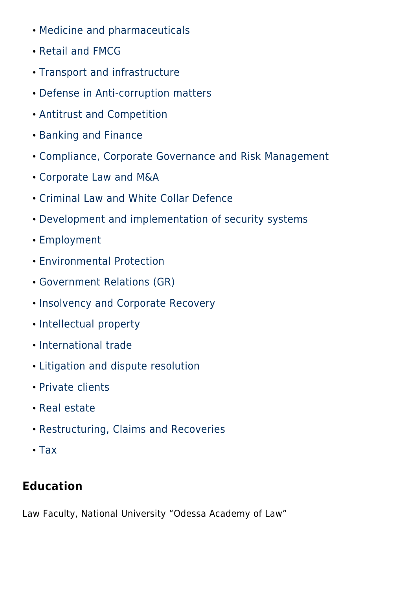- [Medicine and pharmaceuticals](#page--1-0)
- [Retail and FMCG](#page--1-0)
- [Transport and infrastructure](#page--1-0)
- [Defense in Anti-corruption matters](#page--1-0)
- [Antitrust and Competition](#page--1-0)
- [Banking and Finance](#page--1-0)
- [Compliance, Corporate Governance and Risk Management](#page--1-0)
- [Corporate Law and M&A](#page--1-0)
- [Criminal Law and White Collar Defence](#page--1-0)
- [Development and implementation of security systems](#page--1-0)
- [Employment](#page--1-0)
- [Environmental Protection](#page--1-0)
- [Government Relations \(GR\)](#page--1-0)
- [Insolvency and Corporate Recovery](#page--1-0)
- [Intellectual property](#page--1-0)
- [International trade](#page--1-0)
- [Litigation and dispute resolution](#page--1-0)
- [Private clients](#page--1-0)
- [Real estate](#page--1-0)
- [Restructuring, Claims and Recoveries](#page--1-0)
- $\cdot$  [Tax](#page--1-0)

### **Education**

Law Faculty, National University "Odessa Academy of Law"